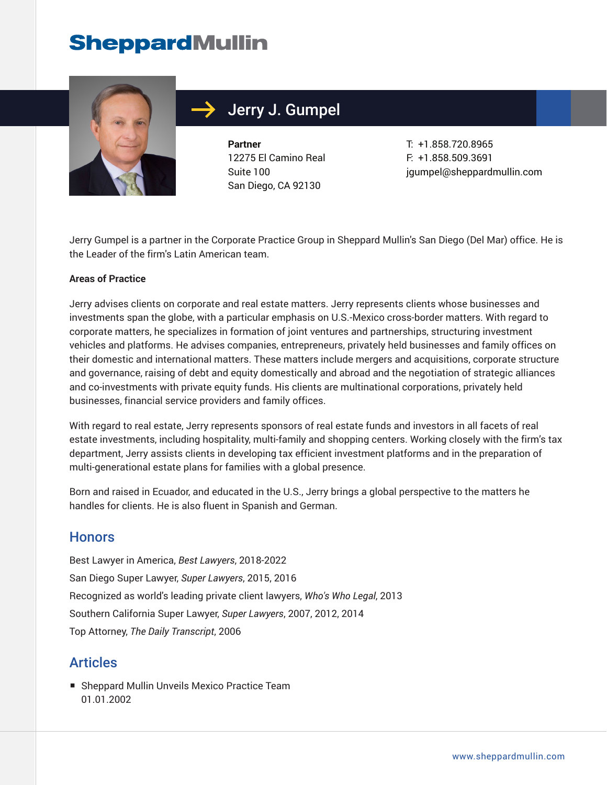## **SheppardMullin**



## Jerry J. Gumpel

**Partner** 12275 El Camino Real Suite 100 San Diego, CA 92130

T: +1.858.720.8965 F: +1.858.509.3691 jgumpel@sheppardmullin.com

Jerry Gumpel is a partner in the Corporate Practice Group in Sheppard Mullin's San Diego (Del Mar) office. He is the Leader of the firm's Latin American team.

#### **Areas of Practice**

Jerry advises clients on corporate and real estate matters. Jerry represents clients whose businesses and investments span the globe, with a particular emphasis on U.S.-Mexico cross-border matters. With regard to corporate matters, he specializes in formation of joint ventures and partnerships, structuring investment vehicles and platforms. He advises companies, entrepreneurs, privately held businesses and family offices on their domestic and international matters. These matters include mergers and acquisitions, corporate structure and governance, raising of debt and equity domestically and abroad and the negotiation of strategic alliances and co-investments with private equity funds. His clients are multinational corporations, privately held businesses, financial service providers and family offices.

With regard to real estate, Jerry represents sponsors of real estate funds and investors in all facets of real estate investments, including hospitality, multi-family and shopping centers. Working closely with the firm's tax department, Jerry assists clients in developing tax efficient investment platforms and in the preparation of multi-generational estate plans for families with a global presence.

Born and raised in Ecuador, and educated in the U.S., Jerry brings a global perspective to the matters he handles for clients. He is also fluent in Spanish and German.

#### **Honors**

Best Lawyer in America, *Best Lawyers*, 2018-2022 San Diego Super Lawyer, *Super Lawyers*, 2015, 2016 Recognized as world's leading private client lawyers, *Who's Who Legal*, 2013 Southern California Super Lawyer, *Super Lawyers*, 2007, 2012, 2014 Top Attorney, *The Daily Transcript*, 2006

#### **Articles**

■ Sheppard Mullin Unveils Mexico Practice Team 01.01.2002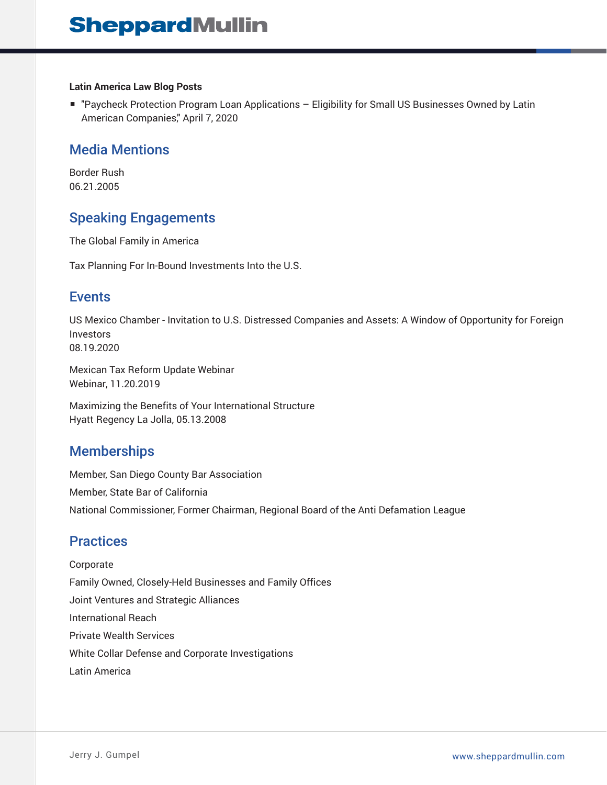#### **Latin America Law Blog Posts**

■ "Paycheck Protection Program Loan Applications – Eligibility for Small US Businesses Owned by Latin American Companies," April 7, 2020

#### Media Mentions

Border Rush 06.21.2005

### Speaking Engagements

The Global Family in America

Tax Planning For In-Bound Investments Into the U.S.

#### Events

US Mexico Chamber - Invitation to U.S. Distressed Companies and Assets: A Window of Opportunity for Foreign Investors 08.19.2020

Mexican Tax Reform Update Webinar Webinar, 11.20.2019

Maximizing the Benefits of Your International Structure Hyatt Regency La Jolla, 05.13.2008

#### **Memberships**

Member, San Diego County Bar Association Member, State Bar of California National Commissioner, Former Chairman, Regional Board of the Anti Defamation League

### **Practices**

Corporate Family Owned, Closely-Held Businesses and Family Offices Joint Ventures and Strategic Alliances International Reach Private Wealth Services White Collar Defense and Corporate Investigations Latin America